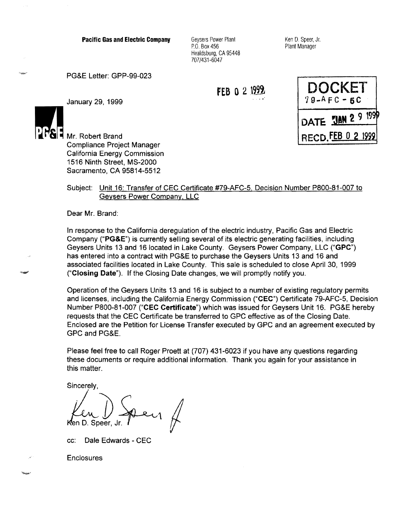Pacific Gas and Electric Company

Geysers Power Plant P.O. Box 456 Healdsburg, CA 95448 707/431-6047

Ken D. Speer, Jr. Plant Manager

PG&E Letter: GPP-99-023

FEB o 2 *\m* 



January 29, 1999



اب<br>مح**مد** 

Mr. Robert Brand Compliance Project Manager California Energy Commission 1516 Ninth Street, MS-2000 Sacramento, CA 95814-5512

## Subject: Unit 16: Transfer of CEC Certificate #79-AFC-5, Decision Number PB00-81-007 to Geysers Power Company, LLC

Dear Mr. Brand:

In response to the California deregulation of the electric industry, Pacific Gas and Electric Company **("PG&E")** is currently selling several of its electric generating facilities, including Geysers Units 13 and 16 located in Lake County. Geysers Power Company, LLC **("GPC")**  has entered into a contract with PG&E to purchase the Geysers Units 13 and 16 and associated facilities located in Lake County. This sale is scheduled to close April 30, 1999 **("Closing Date").** If the Closing Date changes, we will promptly notify you.

Operation of the Geysers Units 13 and 16 is subject to a number of existing regulatory permits and licenses, including the California Energy Commission **("CEC")** Certificate 79-AFC-5, Decision Number PB00-81-007 **("CEC Certificate")** which was issued for Geysers Unit 16. PG&E hereby requests that the CEC Certificate be transferred to GPC effective as of the Closing Date. Enclosed are the Petition for License Transfer executed by GPC and an agreement executed by GPC and PG&E.

Please feel free to call Roger Proett at (707) 431-6023 if you have any questions regarding these documents or require additional information. Thank you again for your assistance in this matter.

Sincerely.

Ken D. Speer,

cc: Dale Edwards - CEC

**Enclosures**